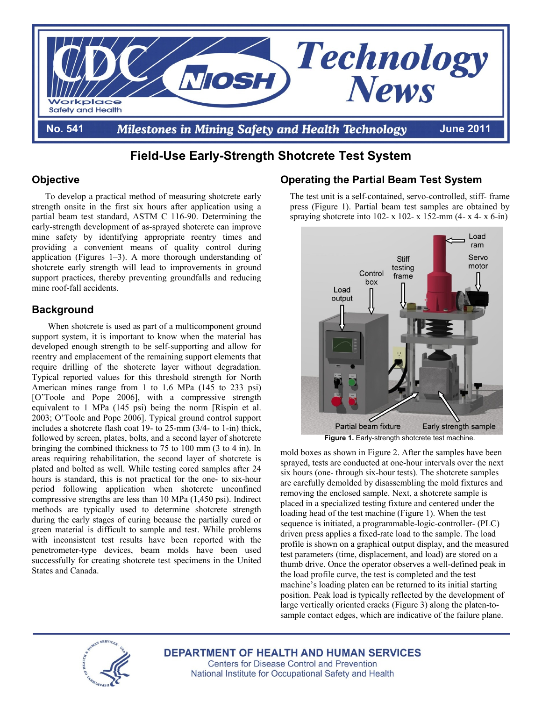

# **Field-Use Early-Strength Shotcrete Test System**

## **Objective**

To develop a practical method of measuring shotcrete early strength onsite in the first six hours after application using a partial beam test standard, ASTM C 116-90. Determining the early-strength development of as-sprayed shotcrete can improve mine safety by identifying appropriate reentry times and providing a convenient means of quality control during application (Figures 1–3). A more thorough understanding of shotcrete early strength will lead to improvements in ground support practices, thereby preventing groundfalls and reducing mine roof-fall accidents.

# **Background**

When shotcrete is used as part of a multicomponent ground support system, it is important to know when the material has developed enough strength to be self-supporting and allow for reentry and emplacement of the remaining support elements that require drilling of the shotcrete layer without degradation. Typical reported values for this threshold strength for North American mines range from 1 to 1.6 MPa (145 to 233 psi) [O'Toole and Pope 2006], with a compressive strength equivalent to 1 MPa (145 psi) being the norm [Rispin et al. 2003; O'Toole and Pope 2006]. Typical ground control support includes a shotcrete flash coat 19- to 25-mm (3/4- to 1-in) thick, followed by screen, plates, bolts, and a second layer of shotcrete bringing the combined thickness to 75 to 100 mm (3 to 4 in). In areas requiring rehabilitation, the second layer of shotcrete is plated and bolted as well. While testing cored samples after 24 hours is standard, this is not practical for the one- to six-hour period following application when shotcrete unconfined compressive strengths are less than 10 MPa (1,450 psi). Indirect methods are typically used to determine shotcrete strength during the early stages of curing because the partially cured or green material is difficult to sample and test. While problems with inconsistent test results have been reported with the penetrometer-type devices, beam molds have been used successfully for creating shotcrete test specimens in the United States and Canada.

# **Operating the Partial Beam Test System**

The test unit is a self-contained, servo-controlled, stiff- frame press (Figure 1). Partial beam test samples are obtained by spraying shotcrete into 102- x 102- x 152-mm  $(4-x 4-x 6-in)$ 



**Figure 1.** Early-strength shotcrete test machine.

mold boxes as shown in Figure 2. After the samples have been sprayed, tests are conducted at one-hour intervals over the next six hours (one- through six-hour tests). The shotcrete samples are carefully demolded by disassembling the mold fixtures and removing the enclosed sample. Next, a shotcrete sample is placed in a specialized testing fixture and centered under the loading head of the test machine (Figure 1). When the test sequence is initiated, a programmable-logic-controller- (PLC) driven press applies a fixed-rate load to the sample. The load profile is shown on a graphical output display, and the measured test parameters (time, displacement, and load) are stored on a thumb drive. Once the operator observes a well-defined peak in the load profile curve, the test is completed and the test machine's loading platen can be returned to its initial starting position. Peak load is typically reflected by the development of large vertically oriented cracks (Figure 3) along the platen-tosample contact edges, which are indicative of the failure plane.



**DEPARTMENT OF HEALTH AND HUMAN SERVICES** 

**Centers for Disease Control and Prevention** National Institute for Occupational Safety and Health